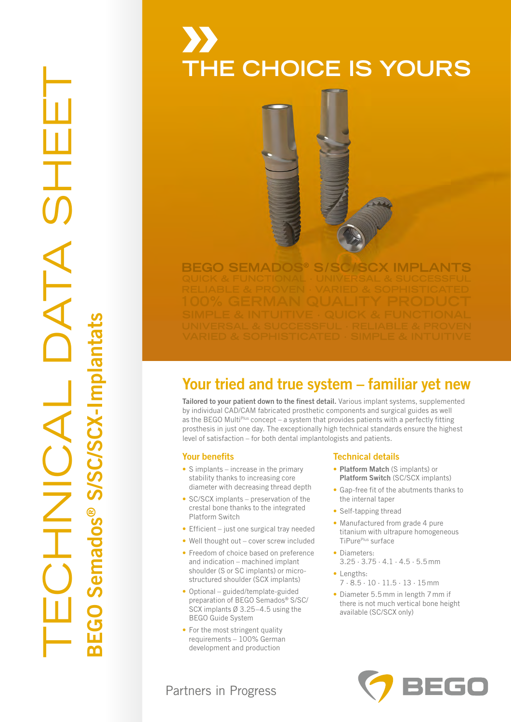# TECHNICAL DATA SHEET ATA ® S/SC/SCX-ImplantatsAOINT BEGO Semados

### **THE CHOICE IS YOURS THE CHOICE IS YOURS**

## **BEGO SEMADOS<sup>®</sup> S/SC/SCX IMPLANTS**

### Your tried and true system – familiar yet new Your tried and true system – familiar yet new

Tailored to your patient down to the finest detail. Various implant systems, supplemented Tailored to your patient down to the finest detail. Various implant systems, supplemented by individual CAD/CAM fabricated prosthetic components and surgical guides as well by individual CAD/CAM fabricated prosthetic components and surgical guides as well as the BEGO Multi<sup>plus</sup> concept – a system that provides patients with a perfectly fitting prosthesis in just one day. The exceptionally high technical standards ensure the highest prosthesis in just one day. The exceptionally high technical standards ensure the highest level of satisfaction – for both dental implantologists and patients. level of satisfaction – for both dental implantologists and patients.

### Your benefits Your benefits

- S implants increase in the primary S implants increase in the primary stability thanks to increasing core stability thanks to increasing core diameter with decreasing thread depth diameter with decreasing thread depth
- SC/SCX implants preservation of the SC/SCX implants preservation of the crestal bone thanks to the integrated crestal bone thanks to the integrated Platform Switch Platform Switch
- Efficient just one surgical tray needed Efficient just one surgical tray needed
- Well thought out cover screw included Well thought out cover screw included
- Freedom of choice based on preference Freedom of choice based on preference and indication – machined implant and indication – machined implant shoulder (S or SC implants) or micro-shoulder (S or SC implants) or microstructured shoulder (SCX implants) structured shoulder (SCX implants)
- Optional guided/template-guided Optional guided/template-guided preparation of BEGO Semados® S/SC/ preparation of BEGO Semados® S/SC/ SCX implants Ø 3.25–4.5 using the SCX implants Ø 3.25–4.5 using the BEGO Guide System BEGO Guide System
- For the most stringent quality For the most stringent quality requirements – 100% German requirements – 100% German development and production development and production

### Technical details Technical details

- Platform Match (S implants) or Platform Match (S implants) or Platform Switch (SC/SCX implants) Platform Switch (SC/SCX implants)
- Gap-free fit of the abutments thanks to Gap-free fit of the abutments thanks to the internal taper the internal taper
- Self-tapping thread Self-tapping thread
- Manufactured from grade 4 pure Manufactured from grade 4 pure titanium with ultrapure homogeneous titanium with ultrapure homogeneous TiPurePlus surface TiPurePlus surface
- Diameters: Diameters: 3.25 · 3.75 · 4.1 · 4.5 · 5.5 mm 3.25 · 3.75 · 4.1 · 4.5 · 5.5 mm
- Lengths: Lengths: 7 · 8.5 · 10 · 11.5 · 13 · 15 mm 7 · 8.5 · 10 · 11.5 · 13 · 15 mm
- Diameter 5.5 mm in length 7 mm if Diameter 5.5 mm in length 7 mm if there is not much vertical bone height there is not much vertical bone height available (SC/SCX only) available (SC/SCX only)



### Partners in Progress Partners in Progress